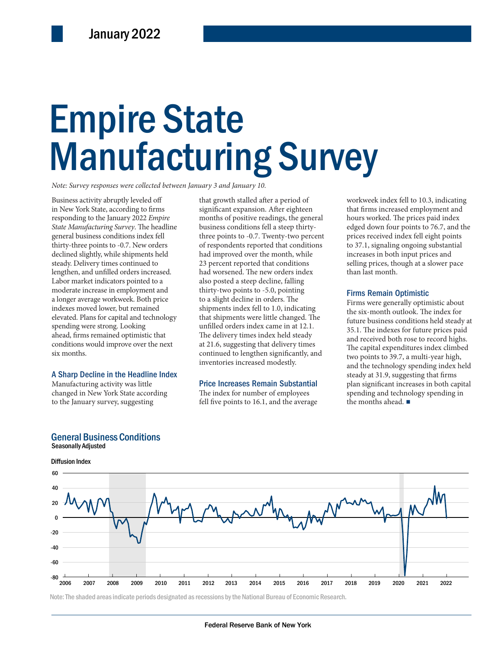# Empire State Empire State Manufacturing Survey Manufacturing Survey

*Note: Survey responses were collected between January 3 and January 10.*

Business activity abruptly leveled off in New York State, according to firms responding to the January 2022 *Empire State Manufacturing Survey*. The headline general business conditions index fell thirty-three points to -0.7. New orders declined slightly, while shipments held steady. Delivery times continued to lengthen, and unfilled orders increased. Labor market indicators pointed to a moderate increase in employment and a longer average workweek. Both price indexes moved lower, but remained elevated. Plans for capital and technology spending were strong. Looking ahead, firms remained optimistic that conditions would improve over the next six months.

### A Sharp Decline in the Headline Index

Manufacturing activity was little changed in New York State according to the January survey, suggesting

the six-month<br>
capital and technology<br>
that shipments were little changed. The<br>
the six-month<br>
future business<br>
muscule of the six-month<br>
future business<br>
the six-month<br>
future business<br>
the six-month<br>
future business<br>
35. that growth stalled after a period of significant expansion. After eighteen months of positive readings, the general business conditions fell a steep thirtythree points to -0.7. Twenty-two percent of respondents reported that conditions had improved over the month, while 23 percent reported that conditions had worsened. The new orders index also posted a steep decline, falling thirty-two points to -5.0, pointing to a slight decline in orders. The shipments index fell to 1.0, indicating that shipments were little changed. The unfilled orders index came in at 12.1. The delivery times index held steady at 21.6, suggesting that delivery times continued to lengthen significantly, and inventories increased modestly.

### Price Increases Remain Substantial

The index for number of employees fell five points to 16.1, and the average

workweek index fell to 10.3, indicating that firms increased employment and hours worked. The prices paid index edged down four points to 76.7, and the prices received index fell eight points to 37.1, signaling ongoing substantial increases in both input prices and selling prices, though at a slower pace than last month.

### Firms Remain Optimistic

Firms were generally optimistic about the six-month outlook. The index for future business conditions held steady at 35.1. The indexes for future prices paid and received both rose to record highs. The capital expenditures index climbed two points to 39.7, a multi-year high, and the technology spending index held steady at 31.9, suggesting that firms plan significant increases in both capital spending and technology spending in the months ahead. ■



Note: The shaded areas indicate periods designated as recessions by the National Bureau of Economic Research.

### General Business Conditions Seasonally Adjusted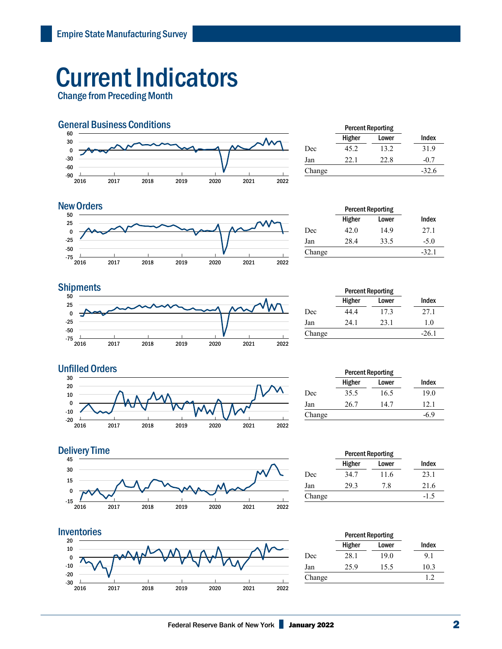## Current Indicators

Change from Preceding Month



|        | <b>Percent Reporting</b> |       |         |
|--------|--------------------------|-------|---------|
|        | Higher                   | Lower | Index   |
| Dec    | 45.2                     | 13.2  | 31.9    |
| Jan    | 22.1                     | 22.8  | $-0.7$  |
| Change |                          |       | $-32.6$ |



| <b>New Orders</b>     |        |        | <b>Percent Reporting</b> |         |
|-----------------------|--------|--------|--------------------------|---------|
| 50<br>$\Lambda$<br>25 |        | Higher | Lower                    | Index   |
| 0                     | Dec    | 42.0   | 14.9                     | 27.1    |
| $-25$                 | Jan    | 28.4   | 33.5                     | $-5.0$  |
| $-50$<br>$-75$        | Change |        |                          | $-32.1$ |

## **Shipments**



| <b>Percent Reporting</b> |       |         |
|--------------------------|-------|---------|
| Higher                   | Lower | Index   |
| 44.4                     | 17.3  | 27.1    |
| 24.1                     | 23.1  | 1.0     |
|                          |       | $-26.1$ |
|                          |       |         |





#### $-15\frac{L}{2016}$ | 2017 | 2018 | 2019 | 2020 | 2021 | 2022 -15 <u>Late and the contract of the contract of the contract of the contract of the contract of the contract of the contract of the contract of the contract of the contract of the contract of the contract of the contract of </u>  $\pmb{0}$  15 30 45 **Delivery Time**



|        | <b>Percent Reporting</b> |       |        |
|--------|--------------------------|-------|--------|
|        | Higher                   | Lower | Index  |
| Dec    | 34.7                     | 11.6  | 23.1   |
| Jan    | 29.3                     | 7.8   | 21.6   |
| Change |                          |       | $-1.5$ |
|        |                          |       |        |

|        | <b>Percent Reporting</b> |       |       |
|--------|--------------------------|-------|-------|
|        | Higher                   | Lower | Index |
| Dec    | 28.1                     | 19.0  | 9.1   |
| Jan    | 25.9                     | 15.5  | 10.3  |
| Change |                          |       | 1.2.  |
|        |                          |       |       |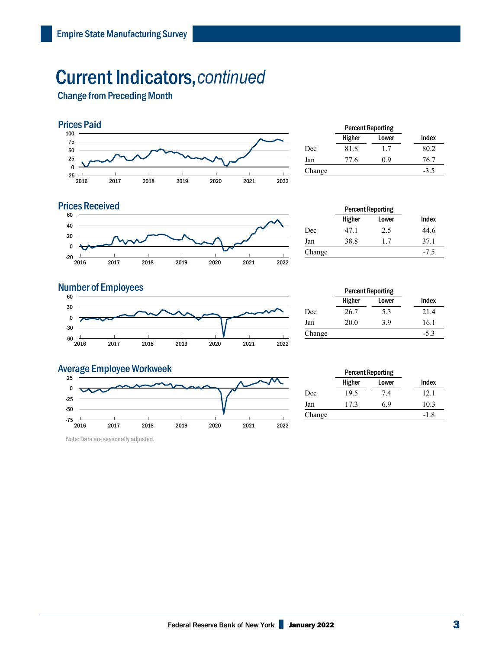## Current Indicators,*continued*

Change from Preceding Month



|        | <b>Percent Reporting</b> |       |        |
|--------|--------------------------|-------|--------|
|        | Higher                   | Lower | Index  |
| Dec    | 81.8                     | 1.7   | 80.2   |
| Jan    | 77.6                     | 0.9   | 76.7   |
| Change |                          |       | $-3.5$ |
|        |                          |       |        |



|        | <b>Percent Reporting</b> |       |        |
|--------|--------------------------|-------|--------|
|        | Higher                   | Lower | Index  |
| Dec    | 47.1                     | 2.5   | 44.6   |
| Jan    | 38.8                     | 1.7   | 37.1   |
| Change |                          |       | $-7.5$ |
|        |                          |       |        |

## **Number of Employees**



|        | <b>Percent Reporting</b> |       |        |
|--------|--------------------------|-------|--------|
|        | Higher                   | Lower | Index  |
| Dec    | 26.7                     | 5.3   | 21.4   |
| Jan    | 20.0                     | 3.9   | 16.1   |
| Change |                          |       | $-5.3$ |
|        |                          |       |        |



Note: Data are seasonally adjusted.

| Change |                          |       | $-5.3$ |
|--------|--------------------------|-------|--------|
|        |                          |       |        |
|        |                          |       |        |
|        |                          |       |        |
|        | <b>Percent Reporting</b> |       |        |
|        | Higher                   | Lower | Index  |
|        |                          |       |        |

|        | Higher | Lower | Index  |
|--------|--------|-------|--------|
| Dec    | 19.5   | 7.4   | 12.1   |
| Jan    | 17.3   | 6.9   | 10.3   |
| Change |        |       | $-1.8$ |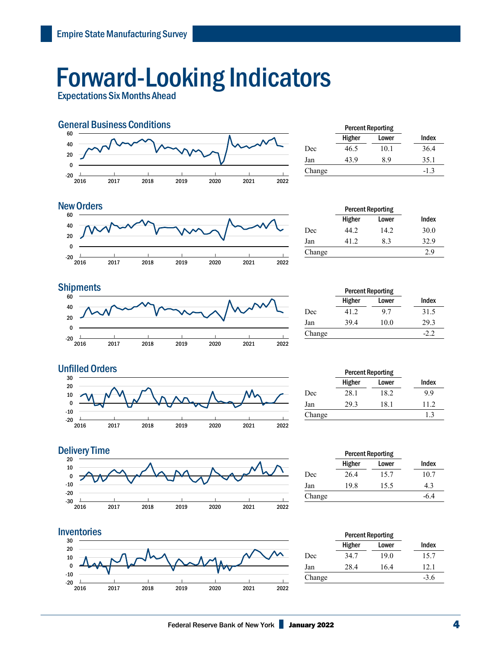## Forward-Looking Indicators

Expectations Six Months Ahead



|        | <b>Percent Reporting</b> |       |        |
|--------|--------------------------|-------|--------|
|        | Higher                   | Lower | Index  |
| Dec    | 46.5                     | 10.1  | 36.4   |
| Jan    | 43.9                     | 8.9   | 35.1   |
| Change |                          |       | $-1.3$ |
|        |                          |       |        |

#### $-20$   $\frac{1}{2016}$ | 2017 | 2018 | 2019 | 2020 | 2021 | 2022 | -20 0 20 40 60 New Orders **Percent Reporting**

|        | <b>Percent Reporting</b> |       |       |  |
|--------|--------------------------|-------|-------|--|
|        | Higher                   | Lower | Index |  |
| Dec    | 44.2.                    | 14.2  | 30.0  |  |
| Jan    | 41 2                     | 8.3   | 32.9  |  |
| Change |                          |       | 2.9   |  |



|        | <b>Percent Reporting</b> |       |       |
|--------|--------------------------|-------|-------|
|        | Higher                   | Lower | Index |
| Dec    | 41.2                     | 9.7   | 31.5  |
| Jan    | 39.4                     | 10.0  | 29.3  |
| Change |                          |       | -22   |
|        |                          |       |       |



|        | <b>Percent Reporting</b> |       |       |
|--------|--------------------------|-------|-------|
|        | Higher                   | Lower | Index |
| Dec    | 28.1                     | 18.2  | 9.9   |
| Jan    | 29.3                     | 18.1  | 11.2. |
| Change |                          |       | 1.3   |
|        |                          |       |       |





|        | <b>Percent Reporting</b> |       |       |
|--------|--------------------------|-------|-------|
|        | Higher                   | Lower | Index |
| Dec    | 26.4                     | 15.7  | 10.7  |
| Jan    | 19.8                     | 15.5  | 4.3   |
| Change |                          |       | -6.4  |
|        |                          |       |       |

| Index  |
|--------|
| 15.7   |
| 12.1   |
| $-3.6$ |
|        |